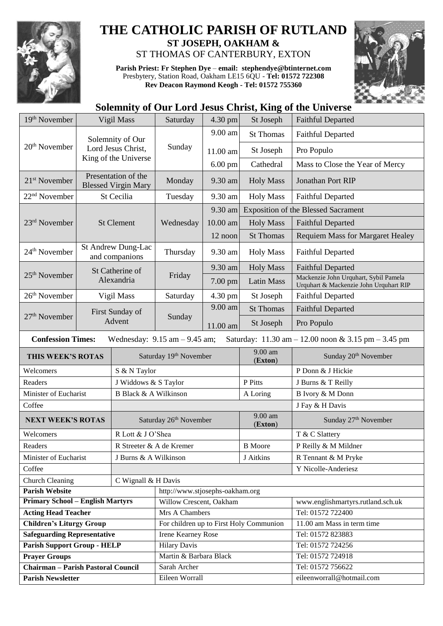

## **THE CATHOLIC PARISH OF RUTLAND ST JOSEPH, OAKHAM &**  ST THOMAS OF CANTERBURY, EXTON

**Parish Priest: Fr Stephen Dye** – **[email: stephendye@btinternet.com](mailto:email:%20%20stephendye@btinternet.com)** Presbytery, Station Road, Oakham LE15 6QU - **Tel: 01572 722308 Rev Deacon Raymond Keogh - Tel: 01572 755360**



## **Solemnity of Our Lord Jesus Christ, King of the Universe**

| 19th November                                                                                                        | Vigil Mass                                                     |                          | Saturday                           | 4.30 pm   | St Joseph                               | <b>Faithful Departed</b>                                                        |  |  |  |
|----------------------------------------------------------------------------------------------------------------------|----------------------------------------------------------------|--------------------------|------------------------------------|-----------|-----------------------------------------|---------------------------------------------------------------------------------|--|--|--|
|                                                                                                                      | Solemnity of Our<br>Lord Jesus Christ,<br>King of the Universe |                          | Sunday                             | 9.00 am   | <b>St Thomas</b>                        | <b>Faithful Departed</b>                                                        |  |  |  |
| $20th$ November                                                                                                      |                                                                |                          |                                    | 11.00 am  | St Joseph                               | Pro Populo                                                                      |  |  |  |
|                                                                                                                      |                                                                |                          |                                    | $6.00$ pm | Cathedral                               | Mass to Close the Year of Mercy                                                 |  |  |  |
|                                                                                                                      |                                                                |                          |                                    |           |                                         |                                                                                 |  |  |  |
| Presentation of the<br>21 <sup>st</sup> November<br><b>Blessed Virgin Mary</b>                                       |                                                                |                          | Monday                             | 9.30 am   | <b>Holy Mass</b>                        | Jonathan Port RIP                                                               |  |  |  |
| 22 <sup>nd</sup> November                                                                                            |                                                                | St Cecilia               | Tuesday                            | 9.30 am   | <b>Holy Mass</b>                        | <b>Faithful Departed</b>                                                        |  |  |  |
|                                                                                                                      | <b>St Clement</b>                                              |                          | Wednesday                          | 9.30 am   |                                         | <b>Exposition of the Blessed Sacrament</b>                                      |  |  |  |
| 23rd November                                                                                                        |                                                                |                          |                                    | 10.00 am  | <b>Holy Mass</b>                        | <b>Faithful Departed</b>                                                        |  |  |  |
|                                                                                                                      |                                                                |                          |                                    | 12 noon   | <b>St Thomas</b>                        | <b>Requiem Mass for Margaret Healey</b>                                         |  |  |  |
| 24 <sup>th</sup> November                                                                                            | <b>St Andrew Dung-Lac</b><br>and companions                    |                          | Thursday                           | 9.30 am   | <b>Holy Mass</b>                        | <b>Faithful Departed</b>                                                        |  |  |  |
| $25th$ November                                                                                                      | St Catherine of<br>Alexandria                                  |                          | Friday                             | 9.30 am   | <b>Holy Mass</b>                        | <b>Faithful Departed</b>                                                        |  |  |  |
|                                                                                                                      |                                                                |                          |                                    | 7.00 pm   | <b>Latin Mass</b>                       | Mackenzie John Urquhart, Sybil Pamela<br>Urquhart & Mackenzie John Urquhart RIP |  |  |  |
| 26 <sup>th</sup> November                                                                                            | Vigil Mass                                                     |                          | Saturday                           | 4.30 pm   | St Joseph                               | <b>Faithful Departed</b>                                                        |  |  |  |
| 27 <sup>th</sup> November                                                                                            |                                                                | First Sunday of          |                                    | 9.00 am   | <b>St Thomas</b>                        | <b>Faithful Departed</b>                                                        |  |  |  |
|                                                                                                                      |                                                                | Advent                   | Sunday                             | 11.00 am  | St Joseph                               | Pro Populo                                                                      |  |  |  |
| <b>Confession Times:</b><br>Saturday: 11.30 am - 12.00 noon & 3.15 pm - 3.45 pm<br>Wednesday: $9.15$ am $- 9.45$ am; |                                                                |                          |                                    |           |                                         |                                                                                 |  |  |  |
| THIS WEEK'S ROTAS                                                                                                    |                                                                |                          |                                    |           |                                         |                                                                                 |  |  |  |
|                                                                                                                      |                                                                |                          | Saturday 19th November             |           | 9.00 am<br>(Exton)                      | Sunday 20 <sup>th</sup> November                                                |  |  |  |
| Welcomers                                                                                                            |                                                                | S & N Taylor             |                                    |           |                                         | P Donn & J Hickie                                                               |  |  |  |
| Readers                                                                                                              |                                                                | J Widdows & S Taylor     |                                    |           | P Pitts                                 | J Burns & T Reilly                                                              |  |  |  |
| Minister of Eucharist                                                                                                |                                                                | B Black & A Wilkinson    |                                    |           | A Loring                                | B Ivory & M Donn                                                                |  |  |  |
| Coffee                                                                                                               |                                                                |                          |                                    |           |                                         | J Fay & H Davis                                                                 |  |  |  |
| <b>NEXT WEEK'S ROTAS</b>                                                                                             |                                                                |                          | Saturday 26 <sup>th</sup> November |           | 9.00 am<br>(Exton)                      | Sunday 27 <sup>th</sup> November                                                |  |  |  |
| Welcomers                                                                                                            |                                                                | R Lott & J O'Shea        |                                    |           |                                         | T & C Slattery                                                                  |  |  |  |
| Readers                                                                                                              |                                                                | R Streeter & A de Kremer |                                    |           | <b>B</b> Moore                          | P Reilly & M Mildner                                                            |  |  |  |
| Minister of Eucharist                                                                                                |                                                                | J Burns & A Wilkinson    |                                    |           | J Aitkins                               | R Tennant & M Pryke                                                             |  |  |  |
| Coffee                                                                                                               |                                                                |                          |                                    |           |                                         | Y Nicolle-Anderiesz                                                             |  |  |  |
| Church Cleaning                                                                                                      |                                                                | C Wignall & H Davis      |                                    |           |                                         |                                                                                 |  |  |  |
| <b>Parish Website</b>                                                                                                |                                                                |                          | http://www.stjosephs-oakham.org    |           |                                         |                                                                                 |  |  |  |
| <b>Primary School - English Martyrs</b>                                                                              |                                                                |                          | Willow Crescent, Oakham            |           |                                         | www.englishmartyrs.rutland.sch.uk                                               |  |  |  |
| <b>Acting Head Teacher</b>                                                                                           |                                                                |                          | Mrs A Chambers                     |           |                                         | Tel: 01572 722400                                                               |  |  |  |
| <b>Children's Liturgy Group</b>                                                                                      |                                                                |                          |                                    |           | For children up to First Holy Communion | 11.00 am Mass in term time                                                      |  |  |  |
| <b>Safeguarding Representative</b>                                                                                   |                                                                |                          | <b>Irene Kearney Rose</b>          |           |                                         | Tel: 01572 823883                                                               |  |  |  |
| <b>Parish Support Group - HELP</b>                                                                                   |                                                                |                          | <b>Hilary Davis</b>                |           |                                         | Tel: 01572 724256                                                               |  |  |  |
| <b>Prayer Groups</b>                                                                                                 |                                                                |                          | Martin & Barbara Black             |           |                                         | Tel: 01572 724918                                                               |  |  |  |
| <b>Chairman - Parish Pastoral Council</b><br><b>Parish Newsletter</b>                                                |                                                                |                          | Sarah Archer<br>Eileen Worrall     |           |                                         | Tel: 01572 756622<br>eileenworrall@hotmail.com                                  |  |  |  |